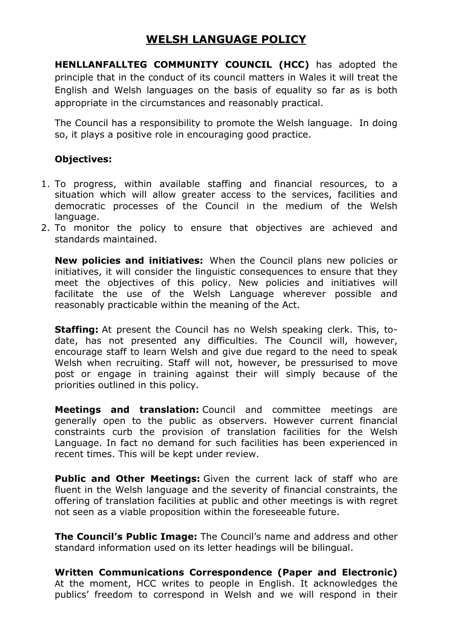## WELSH LANGUAGE POLICY

HENLLANFALLTEG COMMUNITY COUNCIL (HCC) has adopted the principle that in the conduct of its council matters in Wales it will treat the English and Welsh languages on the basis of equality so far as is both appropriate in the circumstances and reasonably practical.

The Council has a responsibility to promote the Welsh language. In doing so, it plays a positive role in encouraging good practice.

## Objectives:

- 1. To progress, within available staffing and financial resources, to a situation which will allow greater access to the services, facilities and democratic processes of the Council in the medium of the Welsh language.
- 2. To monitor the policy to ensure that objectives are achieved and standards maintained.

New policies and initiatives: When the Council plans new policies or initiatives, it will consider the linguistic consequences to ensure that they meet the objectives of this policy. New policies and initiatives will facilitate the use of the Welsh Language wherever possible and reasonably practicable within the meaning of the Act.

**Staffing:** At present the Council has no Welsh speaking clerk. This, todate, has not presented any difficulties. The Council will, however, encourage staff to learn Welsh and give due regard to the need to speak Welsh when recruiting. Staff will not, however, be pressurised to move post or engage in training against their will simply because of the priorities outlined in this policy.

Meetings and translation: Council and committee meetings are generally open to the public as observers. However current financial constraints curb the provision of translation facilities for the Welsh Language. In fact no demand for such facilities has been experienced in recent times. This will be kept under review.

**Public and Other Meetings:** Given the current lack of staff who are fluent in the Welsh language and the severity of financial constraints, the offering of translation facilities at public and other meetings is with regret not seen as a viable proposition within the foreseeable future.

The Council's Public Image: The Council's name and address and other standard information used on its letter headings will be bilingual.

Written Communications Correspondence (Paper and Electronic) At the moment, HCC writes to people in English. It acknowledges the publics' freedom to correspond in Welsh and we will respond in their